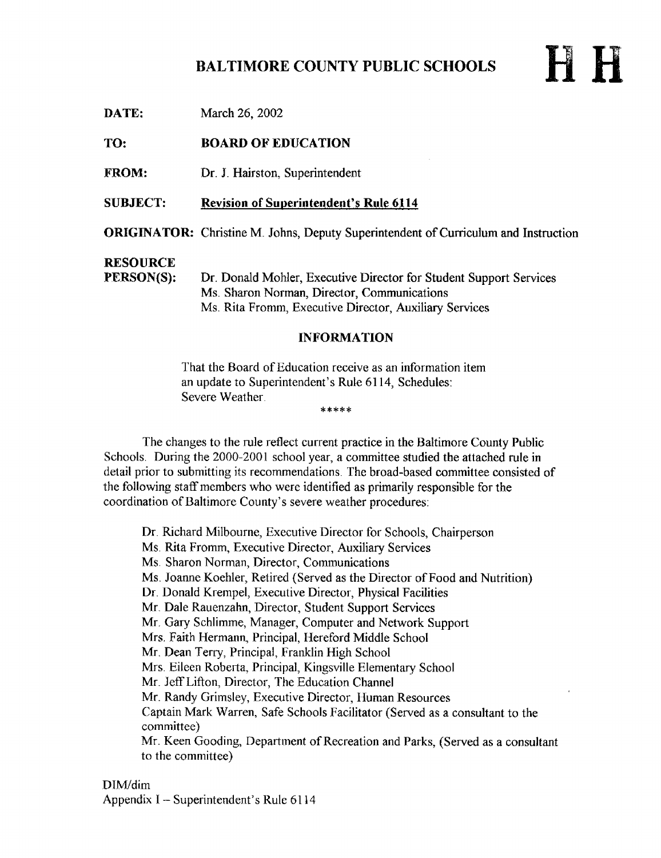# BALTIMORE COUNTY PUBLIC SCHOOLS

P H

| 17A LET                       | <b>NIALUIL ZU, ZUUZ</b>                                                                                                                                                     |
|-------------------------------|-----------------------------------------------------------------------------------------------------------------------------------------------------------------------------|
| TO:                           | <b>BOARD OF EDUCATION</b>                                                                                                                                                   |
| <b>FROM:</b>                  | Dr. J. Hairston, Superintendent                                                                                                                                             |
| <b>SUBJECT:</b>               | <b>Revision of Superintendent's Rule 6114</b>                                                                                                                               |
|                               | <b>ORIGINATOR:</b> Christine M. Johns, Deputy Superintendent of Curriculum and Instruction                                                                                  |
| <b>RESOURCE</b><br>PERSON(S): | Dr. Donald Mohler, Executive Director for Student Support Services<br>Ms. Sharon Norman, Director, Communications<br>Ms. Rita Fromm, Executive Director, Auxiliary Services |
| <b>INFORMATION</b>            |                                                                                                                                                                             |

That the Board of Education receive as an information item an update to Superintendent's Rule 6114, Schedules: Severe Weather \*\*\*\*\*

The changes to the rule reflect current practice in the Baltimore County Public Schools. During the 2000-2001 school year, a committee studied the attached rule in detail prior to submitting its recommendations. The broad-based committee consisted of the following staff members who were identified as primarily responsible for the coordination of Baltimore County's severe weather procedures:

Dr. Richard Milbourne, Executive Director for Schools, Chairperson Ms Rita Fromm, Executive Director, Auxiliary Services Ms Sharon Norman, Director, Communications Ms . Joanne Koehler, Retired (Served as the Director of Food and Nutrition) Dr. Donald Krempel, Executive Director, Physical Facilities Mr. Dale Rauenzahn, Director, Student Support Services Mr. Gary Schlimme, Manager, Computer and Network Support Mrs Faith Hermann, Principal, Hereford Middle School Mr. Dean Terry, Principal, Franklin High School Mrs Eileen Roberta, Principal, Kingsville Elementary School Mr. Jeff Lifton, Director, The Education Channel Mr. Randy Grimsley, Executive Director, Human Resources Captain Mark Warren, Safe Schools Facilitator (Served as a consultant to the committee) Mr. Keen Gooding, Department of Recreation and Parks, (Served as a consultant to the committee)

DIM/dim Appendix <sup>I</sup> - Superintendent's Rule 6114

DATE: Moral 26, 2002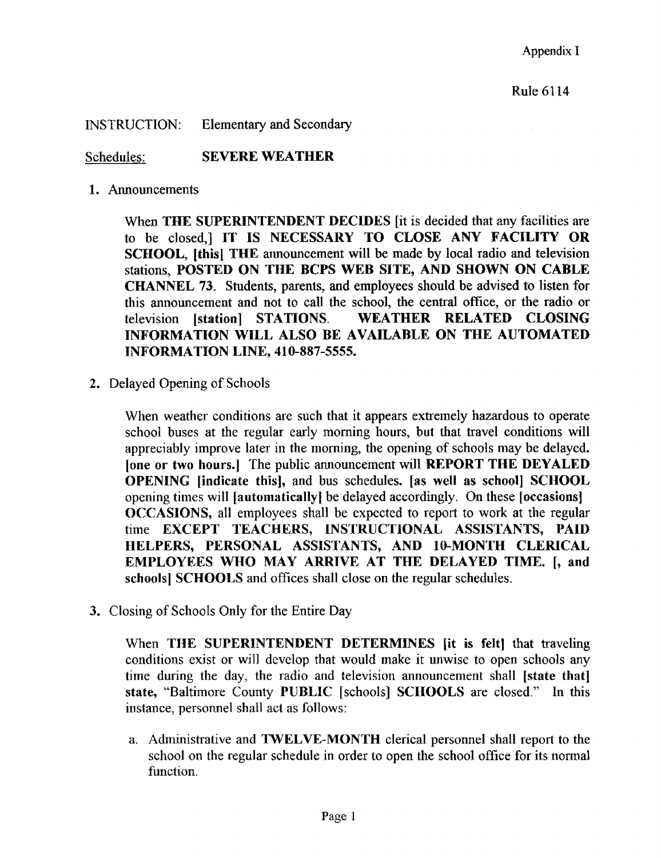INSTRUCTION: Elementary and Secondary

Schedules: SEVERE WEATHER

1. Announcements

When THE SUPERINTENDENT DECIDES *it is decided that any facilities are* to be closed,] IT IS NECESSARY TO CLOSE ANY FACILITY OR SCHOOL, [this] THE announcement will be made by local radio and television stations, POSTED ON THE BCPS WEB SITE, AND SHOWN ON CABLE CHANNEL 73. Students, parents, and employees should be advised to listen for this announcement and not to call the school, the central office, or the radio or television [station] STATIONS. WEATHER RELATED CLOSING INFORMATION WILL ALSO BE AVAILABLE ON THE AUTOMATED INFORMATION LINE, 410-887-5555.

2. Delayed Opening of Schools

When weather conditions are such that it appears extremely hazardous to operate school buses at the regular early morning hours, but that travel conditions will appreciably improve later in the morning, the opening of schools may be delayed. [one or two hours.] The public announcement will REPORT THE DEYALED OPENING [indicate this], and bus schedules. [as well as school] SCHOOL opening times will [automatically] be delayed accordingly. On these [occasions] OCCASIONS, all employees shall be expected to report to work at the regular time EXCEPT TEACHERS, INSTRUCTIONAL ASSISTANTS, PAID HELPERS, PERSONAL ASSISTANTS, AND 10-MONTH CLERICAL EMPLOYEES WHO MAY ARRIVE AT THE DELAYED TIME. [, and schools] SCHOOLS and offices shall close on the regular schedules.

3. Closing of Schools Only for the Entire Day

When THE SUPERINTENDENT DETERMINES [it is felt] that traveling conditions exist or will develop that would make it unwise to open schools any time during the day, the radio and television announcement shall [state that] state, "Baltimore County PUBLIC [schools] SCHOOLS are closed." In this instance, personnel shall act as follows :

a. Administrative and TWELVE-MONTH clerical personnel shall report to the school on the regular schedule in order to open the school office for its normal function.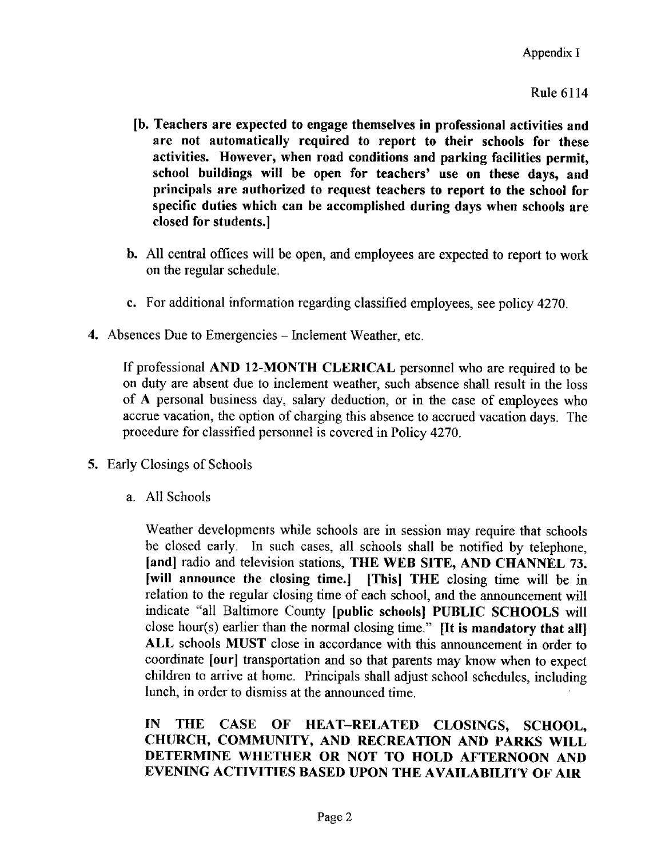### Rule 6114

- [b. Teachers are expected to engage themselves in professional activities and are not automatically required to report to their schools for these activities. However, when road conditions and parking facilities permit, school buildings will be open for teachers' use on these days, and principals are authorized to request teachers to report to the school for specific duties which can be accomplished during days when schools are closed for students.]
- b. All central offices will be open, and employees are expected to report to work on the regular schedule .
- c. For additional information regarding classified employees, see policy 4270.
- 4. Absences Due to Emergencies Inclement Weather, etc.

If professional AND 12-MONTH CLERICAL personnel who are required to be on duty are absent due to inclement weather, such absence shall result in the loss of A personal business day, salary deduction, or in the case of employees who accrue vacation, the option of charging this absence to accrued vacation days. The procedure for classified personnel is covered in Policy 4270 .

- 5. Early Closings of Schools
	- a. All Schools

Weather developments while schools are in session may require that schools be closed early . In such cases, all schools shall be notified by telephone, [and] radio and television stations, THE WEB SITE, AND CHANNEL 73. [will announce the closing time.] [This] THE closing time will be in relation to the regular closing time of each school, and the announcement will indicate "all Baltimore County [public schools] PUBLIC SCHOOLS will close hour(s) earlier than the normal closing time." [It is mandatory that all] ALL schools MUST close in accordance with this announcement in order to coordinate [our] transportation and so that parents may know when to expect children to arrive at home. Principals shall adjust school schedules, including lunch, in order to dismiss at the announced time,

## IN THE CASE OF HEAT-RELATED CLOSINGS, SCHOOL, CHURCH, COMMUNITY, AND RECREATION AND PARKS WILL DETERMINE WHETHER OR NOT TO HOLD AFTERNOON AND EVENING ACTIVITIES BASED UPON THE AVAILABILITY OF AIR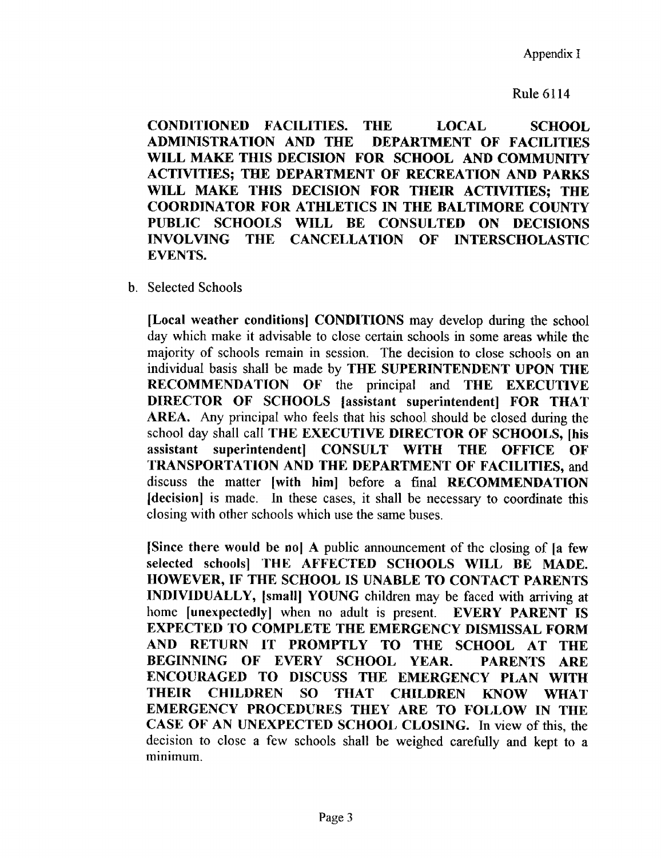#### Rule 6114

CONDITIONED FACILITIES. THE LOCAL SCHOOL DEPARTMENT OF FACILITIES WILL MAKE THIS DECISION FOR SCHOOL AND COMMUNITY ACTIVITIES; THE DEPARTMENT OF RECREATION AND PARKS WILL MAKE THIS DECISION FOR THEIR ACTIVITIES; THE COORDINATOR FOR ATHLETICS IN THE BALTIMORE COUNTY PUBLIC SCHOOLS WILL BE CONSULTED ON DECISIONS<br>INVOLVING THE CANCELLATION OF INTERSCHOLASTIC **CANCELLATION OF** EVENTS.

b. Selected Schools

[Local weather conditions] CONDITIONS may develop during the school day which make it advisable to close certain schools in some areas while the majority of schools remain in session. The decision to close schools on an individual basis shall be made by THE SUPERINTENDENT UPON THE RECOMMENDATION OF the principal and THE EXECUTIVE DIRECTOR OF SCHOOLS [assistant superintendent] FOR THAT AREA. Any principal who feels that his school should be closed during the school day shall call THE EXECUTIVE DIRECTOR OF SCHOOLS, [his<br>assistant superintendent] CONSULT WITH THE OFFICE OF assistant superintendent] CONSULT WITH TRANSPORTATION AND THE DEPARTMENT OF FACILITIES, and discuss the matter [with him] before a final RECOMMENDATION [decision] is made. In these cases, it shall be necessary to coordinate this closing with other schools which use the same buses.

[Since there would be nol A public announcement of the closing o£ [a few selected schools] THE AFFECTED SCHOOLS WILL BE MADE. HOWEVER, IF THE SCHOOL IS UNABLE TO CONTACT PARENTS INDIVIDUALLY, [small] YOUNG children may be faced with arriving at home [unexpectedly] when no adult is present. EVERY PARENT IS home [unexpectedly] when no adult is present. EXPECTED TO COMPLETE THE EMERGENCY DISMISSAL FORM<br>AND RETURN IT PROMPTLY TO THE SCHOOL AT THE AND RETURN IT PROMPTLY TO THE SCHOOL AT THE<br>BEGINNING OF EVERY SCHOOL YEAR. PARENTS ARE BEGINNING OF EVERY SCHOOL YEAR. ENCOURAGED TO DISCUSS THE EMERGENCY PLAN WITH THEIR CHILDREN SO THAT CHILDREN KNOW WHAT EMERGENCY PROCEDURES THEY ARE TO FOLLOW IN THE CASE OF AN UNEXPECTED SCHOOL CLOSING. In view of this, the decision to close a few schools shall be weighed carefully and kept to a minimum .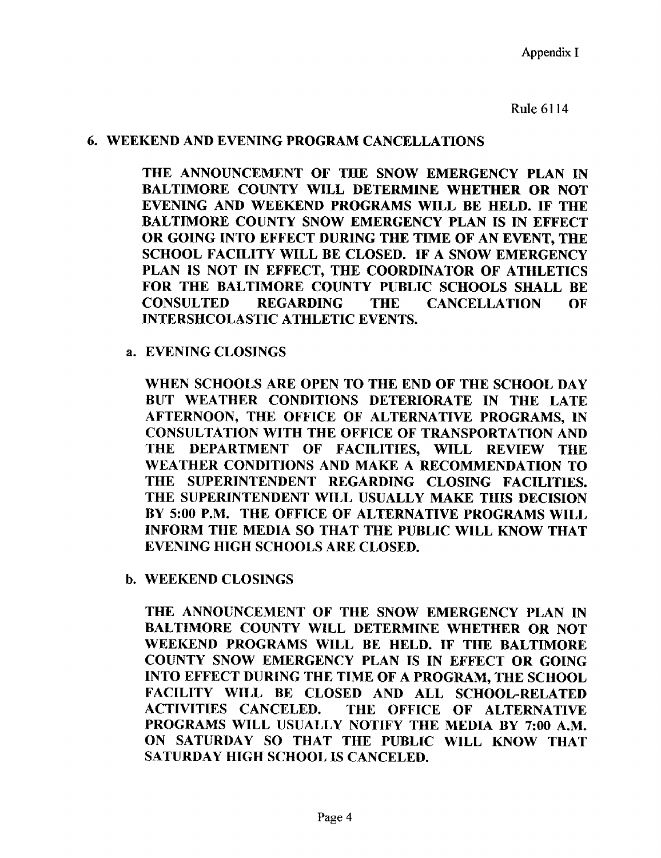Appendix 1

Rule 6114

#### 6. WEEKEND AND EVENING PROGRAM CANCELLATIONS

THE ANNOUNCEMENT OF THE SNOW EMERGENCY PLAN IN BALTIMORE COUNTY WILL DETERMINE WHETHER OR NOT EVENING AND WEEKEND PROGRAMS WILL BE HELD. IF THE BALTIMORE COUNTY SNOW EMERGENCY PLAN IS IN EFFECT OR GOING INTO EFFECT DURING THE TIME OF AN EVENT, THE SCHOOL FACILITY WILL BE CLOSED. IF A SNOW EMERGENCY PLAN IS NOT IN EFFECT, THE COORDINATOR OF ATHLETICS FOR THE BALTIMORE COUNTY PUBLIC SCHOOLS SHALL BE<br>CONSULTED REGARDING THE CANCELLATION OF **CANCELLATION** INTERSHCOLASTIC ATHLETIC EVENTS.

#### a. EVENING CLOSINGS

WHEN SCHOOLS ARE OPEN TO THE END OF THE SCHOOL DAY BUT WEATHER CONDITIONS DETERIORATE IN THE LATE AFTERNOON, THE OFFICE OF ALTERNATIVE PROGRAMS, IN CONSULTATION WITH THE OFFICE OF TRANSPORTATION AND THE DEPARTMENT OF FACILITIES, WILL REVIEW THE WEATHER CONDITIONS AND MAKE A RECOMMENDATION TO THE SUPERINTENDENT REGARDING CLOSING FACILITIES. THE SUPERINTENDENT WILL USUALLY MAKE THIS DECISION BY 5:00 P.M. THE OFFICE OF ALTERNATIVE PROGRAMS WILL INFORM THE MEDIA SO THAT THE PUBLIC WILL KNOW THAT EVENING HIGH SCHOOLS ARE CLOSED.

b. WEEKEND CLOSINGS

THE ANNOUNCEMENT OF THE SNOW EMERGENCY PLAN IN BALTIMORE COUNTY WILL DETERMINE WHETHER OR NOT WEEKEND PROGRAMS WILL BE HELD. IF THE BALTIMORE COUNTY SNOW EMERGENCY PLAN IS IN EFFECT OR GOING INTO EFFECT DURING THE TIME OF A PROGRAM, THE SCHOOL FACILITY WILL BE CLOSED AND ALL SCHOOL-RELATED<br>ACTIVITIES CANCELED. THE OFFICE OF ALTERNATIVE THE OFFICE OF ALTERNATIVE PROGRAMS WILL USUALLY NOTIFY THE MEDIA BY 7:00 A.M. ON SATURDAY SO THAT THE PUBLIC WILL KNOW THAT SATURDAY HIGH SCHOOL IS CANCELED.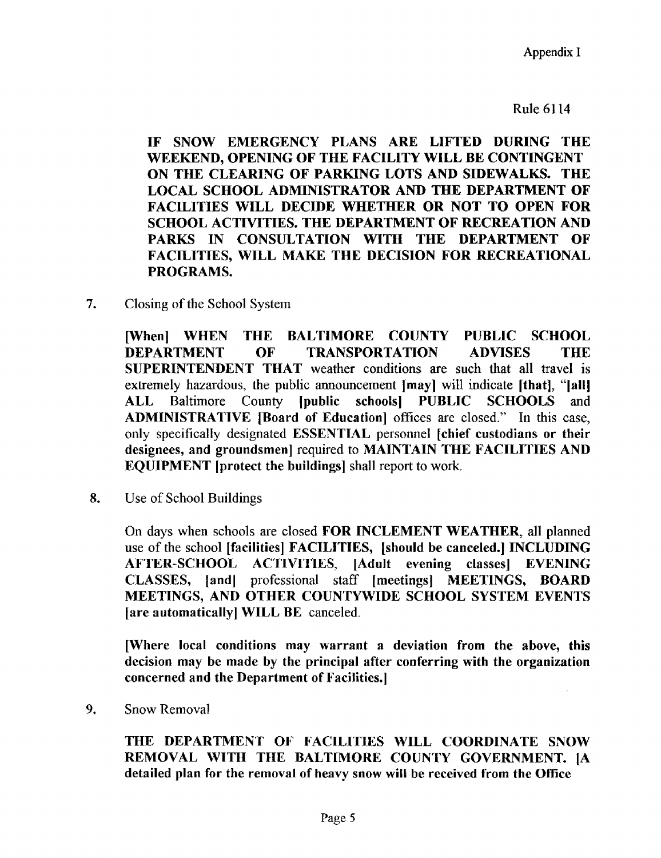Appendix <sup>I</sup>

Rule 6114

IF SNOW EMERGENCY PLANS ARE LIFTED DURING THE WEEKEND, OPENING OF THE FACILITY WILL BE CONTINGENT ON THE CLEARING OF PARKING LOTS AND SIDEWALKS. THE LOCAL SCHOOL ADMINISTRATOR AND THE DEPARTMENT OF FACILITIES WILL DECIDE WHETHER OR NOT TO OPEN FOR SCHOOL ACTIVITIES. THE DEPARTMENT OF RECREATION AND PARKS IN CONSULTATION WITH THE DEPARTMENT OF FACILITIES, WILL MAKE THE DECISION FOR RECREATIONAL PROGRAMS.

7. Closing of the School System

[When] WHEN THE BALTIMORE COUNTY PUBLIC SCHOOL<br>DEPARTMENT OF TRANSPORTATION ADVISES THE DEPARTMENT OF TRANSPORTATION ADVISES THE SUPERINTENDENT THAT weather conditions are such that all travel is extremely hazardous, the public announcement [may] will indicate [that], "[all] ALL Baltimore County [public schools] PUBLIC SCHOOLS and ADMINISTRATIVE [Board of Education] offices are closed." In this case, only specifically designated ESSENTIAL personnel [chief custodians or their designees, and groundsmen] required to MAINTAIN THE FACILITIES AND EQUIPMENT [protect the buildings] shall report to work.

S. Use of School Buildings

On days when schools are closed FOR INCLEMENT WEATHER, all planned use of the school [facilities] FACILITIES, [should be canceled.] INCLUDING<br>AFTER-SCHOOL ACTIVITIES, [Adult evening classes] EVENING ACTIVITIES, [Adult evening classes] EVENING CLASSES, [and] professional staff [meetings] MEETINGS, BOARD MEETINGS, AND OTHER COUNTYWIDE SCHOOL SYSTEM EVENTS [are automatically] WILL BE canceled.

[Where local conditions may warrant a deviation from the above, this decision may be made by the principal after conferring with the organization concerned and the Department of Facilities .]

9. Snow Removal

THE DEPARTMENT OF FACILITIES WILL COORDINATE SNOW REMOVAL WITH THE BALTIMORE COUNTY GOVERNMENT. ]A detailed plan for the removal of heavy snow will be received from the Office